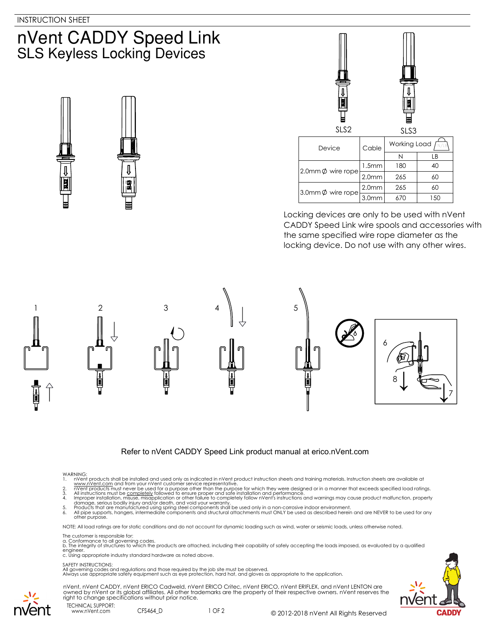# nVent CADDY Speed Link **SLS Keyless Locking Devices**





Locking devices are only to be used with nVent CADDY Speed Link wire spools and accessories with the same specified wire rope diameter as the locking device. Do not use with any other wires.





# Refer to nVent CADDY Speed Link product manual at erico.nVent.com

- 
- 
- 
- WARNING:<br>
1. NYent products shall be installed and used only as indicated in nVent product instruction sheets and training materials. Instruction sheets are available at<br>
1. www.nVent.com and from your nVent customer servi
- 

NOTE: All load ratings are for static conditions and do not account for dynamic loading such as wind, water or seismic loads, unless otherwise noted.

### The customer is responsible for:

a. Conformance to all governing codes.<br>b. The integrity of structures to which the products are attached, including their capability of safely accepting the loads imposed, as evaluated by a qualified engineer. c. Using appropriate industry standard hardware as noted above.

## SAFETY INSTRUCTIONS:

All governing codes and regulations and those required by the job site must be observed. Always use appropriate safety equipment such as eye protection, hard hat, and gloves as appropriate to the application.



nVent, nVent CADDY, nVent ERICO Cadweld, nVent ERICO Critec, nVent ERICO, nVent ERIFLEX, and nVent LENTON are owned by nVent or its global affiliates. All other trademarks are the property of their respective owners. nVent reserves the right to change specifications without prior notice.

TECHNICAL SUPPORT: www.nVent.com CFS464\_D

vent

1 OF 2 © 2012-2018 nVent All Rights Reserved